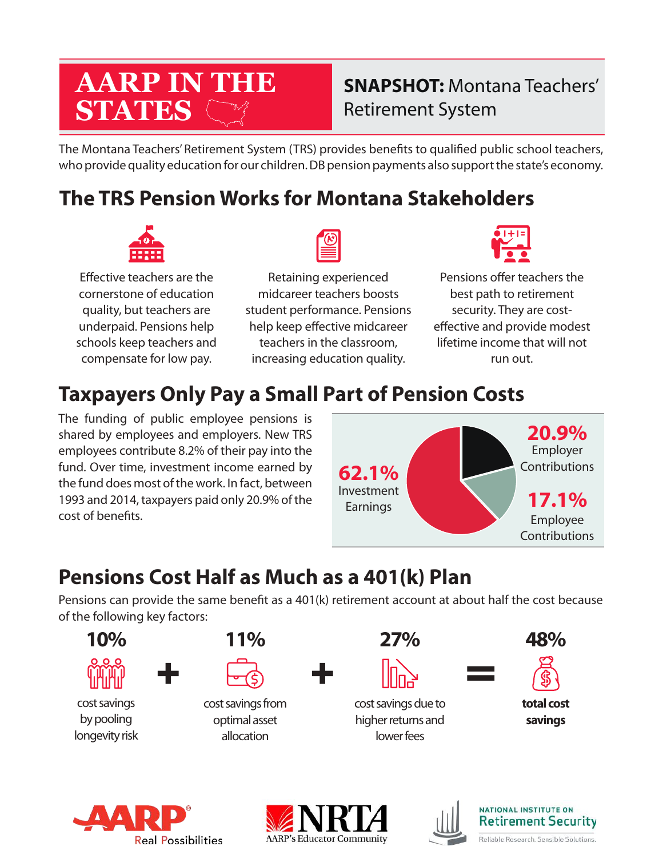# **AARP IN THE STATES**

# **SNAPSHOT:** Montana Teachers' Retirement System

The Montana Teachers' Retirement System (TRS) provides benefts to qualifed public school teachers, who provide quality education for our children. DB pension payments also support the state's economy.

# **The TRS Pension Works for Montana Stakeholders**



Efective teachers are the cornerstone of education quality, but teachers are underpaid. Pensions help schools keep teachers and compensate for low pay.

Retaining experienced midcareer teachers boosts student performance. Pensions help keep effective midcareer teachers in the classroom, increasing education quality.



Pensions offer teachers the best path to retirement security. They are costefective and provide modest lifetime income that will not run out.

# **Taxpayers Only Pay a Small Part of Pension Costs**

The funding of public employee pensions is shared by employees and employers. New TRS employees contribute 8.2% of their pay into the fund. Over time, investment income earned by the fund does most of the work. In fact, between 1993 and 2014, taxpayers paid only 20.9% of the cost of benefts.



# **Pensions Cost Half as Much as a 401(k) Plan**

Pensions can provide the same beneft as a 401(k) retirement account at about half the cost because of the following key factors:









**NATIONAL INSTITUTE ON Retirement Security** Reliable Research. Sensible Solutions.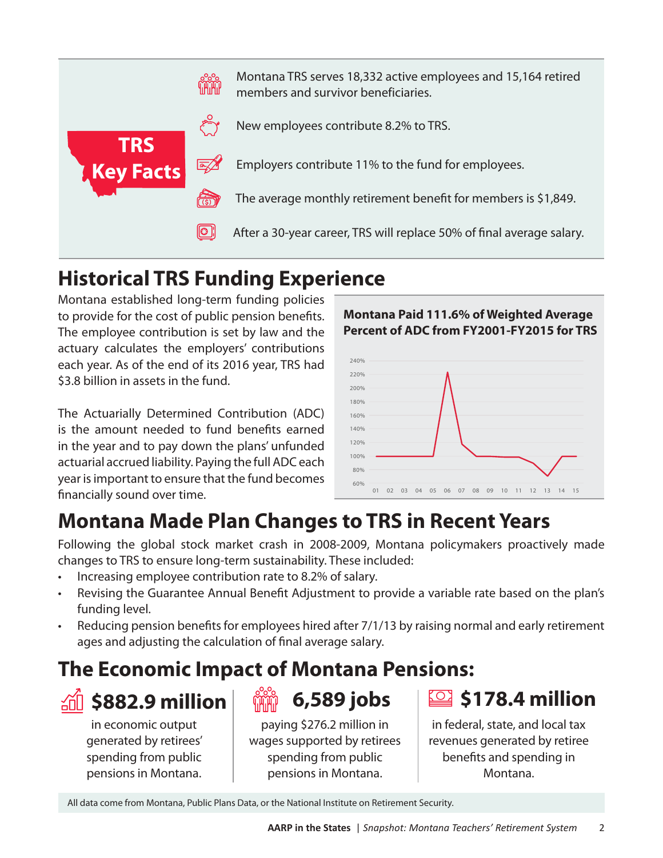

# **Historical TRS Funding Experience**

Montana established long-term funding policies to provide for the cost of public pension benefts. The employee contribution is set by law and the actuary calculates the employers' contributions each year. As of the end of its 2016 year, TRS had \$3.8 billion in assets in the fund.

The Actuarially Determined Contribution (ADC) is the amount needed to fund benefts earned in the year and to pay down the plans' unfunded actuarial accrued liability. Paying the full ADC each year is important to ensure that the fund becomes fnancially sound over time.

**Montana Paid 111.6% of Weighted Average Percent of ADC from FY2001-FY2015 for TRS**



# **Montana Made Plan Changes to TRS in Recent Years**

Following the global stock market crash in 2008-2009, Montana policymakers proactively made changes to TRS to ensure long-term sustainability. These included:

- Increasing employee contribution rate to 8.2% of salary.
- Revising the Guarantee Annual Beneft Adjustment to provide a variable rate based on the plan's funding level.
- Reducing pension benefts for employees hired after 7/1/13 by raising normal and early retirement ages and adjusting the calculation of fnal average salary.

### **The Economic Impact of Montana Pensions:**

# **\$882.9 million**

in economic output generated by retirees' spending from public pensions in Montana.

paying \$276.2 million in wages supported by retirees spending from public **6,589 jobs**

pensions in Montana.

# **\$178.4 million**

in federal, state, and local tax revenues generated by retiree benefts and spending in Montana.

All data come from Montana, Public Plans Data, or the National Institute on Retirement Security.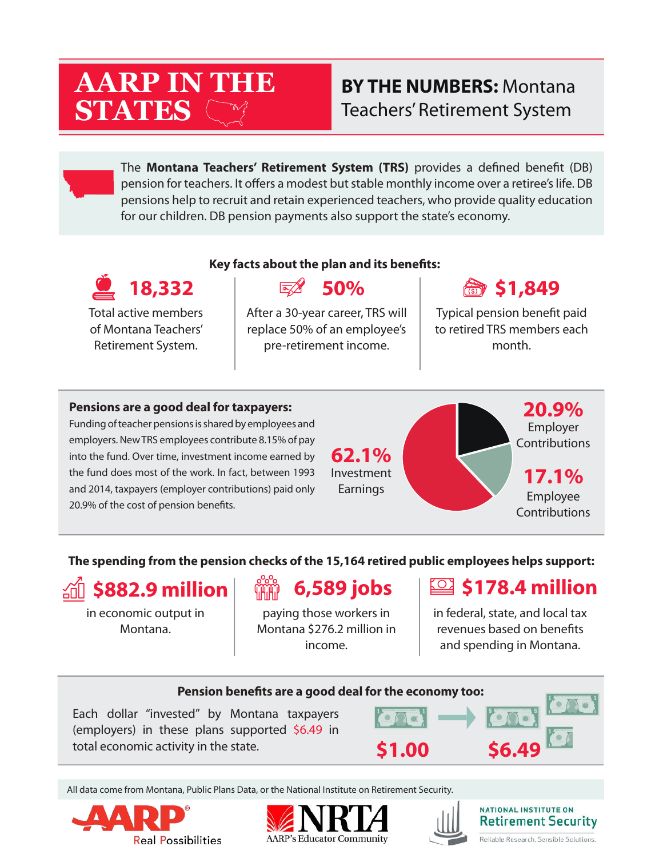# **AARP IN THE STATES**

### **BY THE NUMBERS:** Montana Teachers' Retirement System

The **Montana Teachers' Retirement System (TRS)** provides a defned beneft (DB) pension for teachers. It offers a modest but stable monthly income over a retiree's life. DB pensions help to recruit and retain experienced teachers, who provide quality education for our children. DB pension payments also support the state's economy.

#### **Key facts about the plan and its benefts: 18,332 50% \$1,849**  $\overline{|\overline{\alpha_2}/\mathcal{U}|}$ Total active members After a 30-year career, TRS will Typical pension beneft paid of Montana Teachers' replace 50% of an employee's to retired TRS members each Retirement System. pre-retirement income. month.

#### **Pensions are a good deal for taxpayers:**

Funding of teacher pensions is shared by employees and employers. New TRS employees contribute 8.15% of pay into the fund. Over time, investment income earned by the fund does most of the work. In fact, between 1993 and 2014, taxpayers (employer contributions) paid only 20.9% of the cost of pension benefts.

**62.1%** Investment Earnings

**20.9%** Employer **Contributions** 

**17.1%** Employee Contributions

#### **The spending from the pension checks of the 15,164 retired public employees helps support:**



in economic output in Montana.

# **6,589 jobs**

paying those workers in Montana \$276.2 million in income.

### **\$178.4 million**

in federal, state, and local tax revenues based on benefts and spending in Montana.



All data come from Montana, Public Plans Data, or the National Institute on Retirement Security.







#### NATIONAL INSTITUTE ON **Retirement Security** Reliable Research, Sensible Solutions,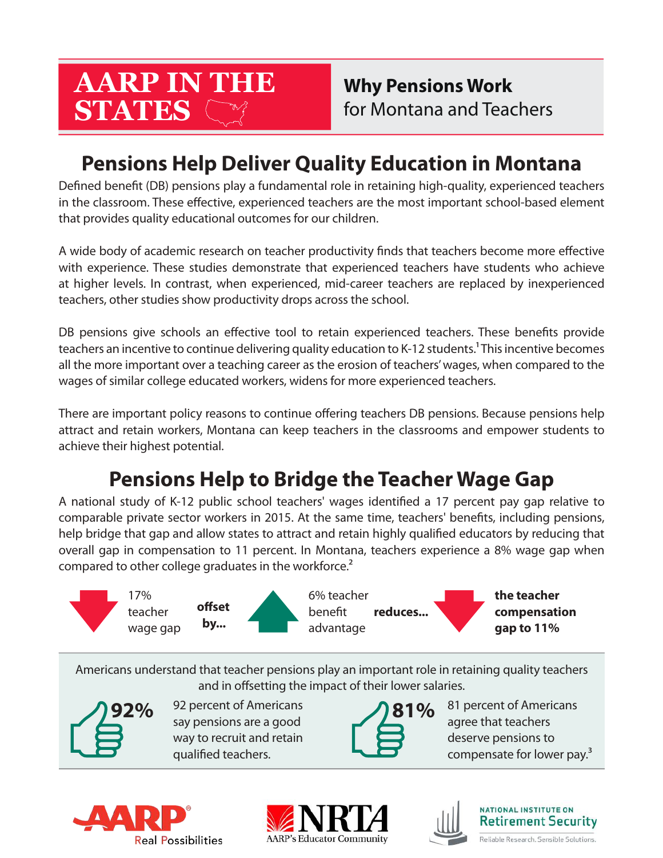# **AARP IN THE STATES**

**Why Pensions Work** for Montana and Teachers

# **Pensions Help Deliver Quality Education in Montana**

Defned beneft (DB) pensions play a fundamental role in retaining high-quality, experienced teachers in the classroom. These efective, experienced teachers are the most important school-based element that provides quality educational outcomes for our children.

A wide body of academic research on teacher productivity fnds that teachers become more efective with experience. These studies demonstrate that experienced teachers have students who achieve at higher levels. In contrast, when experienced, mid-career teachers are replaced by inexperienced teachers, other studies show productivity drops across the school.

DB pensions give schools an efective tool to retain experienced teachers. These benefts provide teachers an incentive to continue delivering quality education to K-12 students.<sup>1</sup> This incentive becomes all the more important over a teaching career as the erosion of teachers' wages, when compared to the wages of similar college educated workers, widens for more experienced teachers.

There are important policy reasons to continue offering teachers DB pensions. Because pensions help attract and retain workers, Montana can keep teachers in the classrooms and empower students to achieve their highest potential.

# **Pensions Help to Bridge the Teacher Wage Gap**

A national study of K-12 public school teachers' wages identifed a 17 percent pay gap relative to comparable private sector workers in 2015. At the same time, teachers' benefts, including pensions, help bridge that gap and allow states to attract and retain highly qualifed educators by reducing that overall gap in compensation to 11 percent. In Montana, teachers experience a 8% wage gap when compared to other college graduates in the workforce.<sup>2</sup>



Americans understand that teacher pensions play an important role in retaining quality teachers and in offsetting the impact of their lower salaries.



92 percent of Americans say pensions are a good way to recruit and retain qualifed teachers.



81 percent of Americans agree that teachers deserve pensions to compensate for lower pay.<sup>3</sup>







**NATIONAL INSTITUTE ON Retirement Security** Reliable Research. Sensible Solutions.